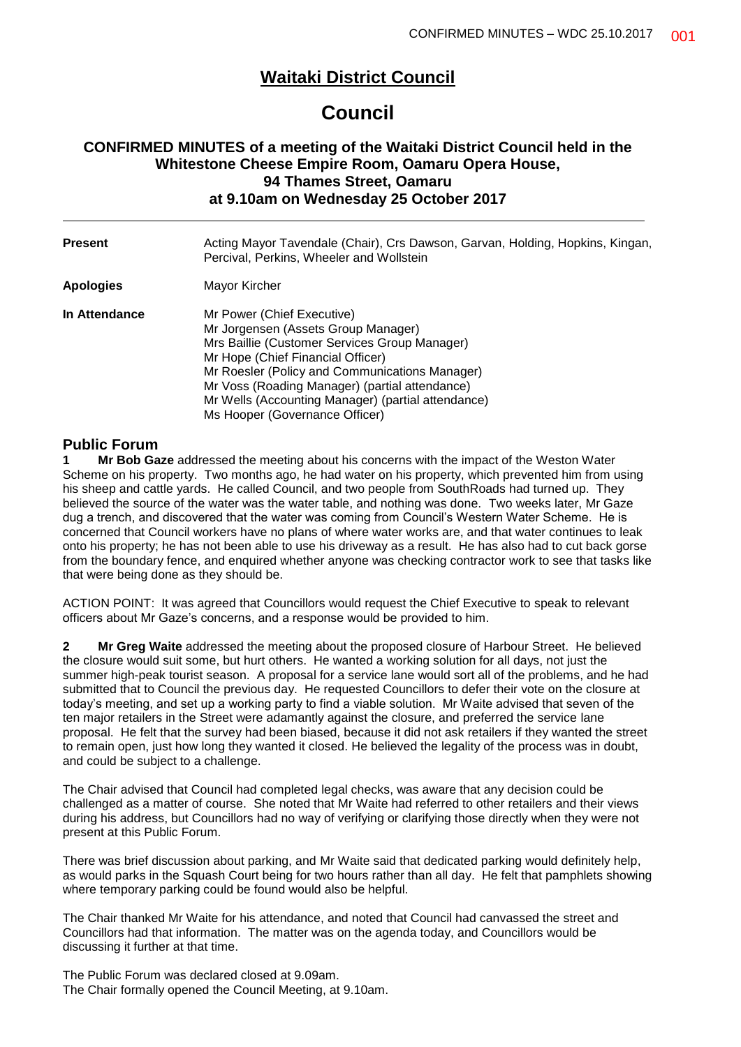# **Waitaki District Council**

# **Council**

# **CONFIRMED MINUTES of a meeting of the Waitaki District Council held in the Whitestone Cheese Empire Room, Oamaru Opera House, 94 Thames Street, Oamaru at 9.10am on Wednesday 25 October 2017**

| <b>Present</b> | Acting Mayor Tavendale (Chair), Crs Dawson, Garvan, Holding, Hopkins, Kingan,<br>Percival, Perkins, Wheeler and Wollstein                                                                                                                                                                                                                           |  |  |
|----------------|-----------------------------------------------------------------------------------------------------------------------------------------------------------------------------------------------------------------------------------------------------------------------------------------------------------------------------------------------------|--|--|
| Apologies      | Mayor Kircher                                                                                                                                                                                                                                                                                                                                       |  |  |
| In Attendance  | Mr Power (Chief Executive)<br>Mr Jorgensen (Assets Group Manager)<br>Mrs Baillie (Customer Services Group Manager)<br>Mr Hope (Chief Financial Officer)<br>Mr Roesler (Policy and Communications Manager)<br>Mr Voss (Roading Manager) (partial attendance)<br>Mr Wells (Accounting Manager) (partial attendance)<br>Ms Hooper (Governance Officer) |  |  |

# **Public Forum**

**1 Mr Bob Gaze** addressed the meeting about his concerns with the impact of the Weston Water Scheme on his property. Two months ago, he had water on his property, which prevented him from using his sheep and cattle yards. He called Council, and two people from SouthRoads had turned up. They believed the source of the water was the water table, and nothing was done. Two weeks later, Mr Gaze dug a trench, and discovered that the water was coming from Council's Western Water Scheme. He is concerned that Council workers have no plans of where water works are, and that water continues to leak onto his property; he has not been able to use his driveway as a result. He has also had to cut back gorse from the boundary fence, and enquired whether anyone was checking contractor work to see that tasks like that were being done as they should be.

ACTION POINT: It was agreed that Councillors would request the Chief Executive to speak to relevant officers about Mr Gaze's concerns, and a response would be provided to him.

**2 Mr Greg Waite** addressed the meeting about the proposed closure of Harbour Street. He believed the closure would suit some, but hurt others. He wanted a working solution for all days, not just the summer high-peak tourist season. A proposal for a service lane would sort all of the problems, and he had submitted that to Council the previous day. He requested Councillors to defer their vote on the closure at today's meeting, and set up a working party to find a viable solution. Mr Waite advised that seven of the ten major retailers in the Street were adamantly against the closure, and preferred the service lane proposal. He felt that the survey had been biased, because it did not ask retailers if they wanted the street to remain open, just how long they wanted it closed. He believed the legality of the process was in doubt, and could be subject to a challenge.

The Chair advised that Council had completed legal checks, was aware that any decision could be challenged as a matter of course. She noted that Mr Waite had referred to other retailers and their views during his address, but Councillors had no way of verifying or clarifying those directly when they were not present at this Public Forum.

There was brief discussion about parking, and Mr Waite said that dedicated parking would definitely help, as would parks in the Squash Court being for two hours rather than all day. He felt that pamphlets showing where temporary parking could be found would also be helpful.

The Chair thanked Mr Waite for his attendance, and noted that Council had canvassed the street and Councillors had that information. The matter was on the agenda today, and Councillors would be discussing it further at that time.

The Public Forum was declared closed at 9.09am. The Chair formally opened the Council Meeting, at 9.10am.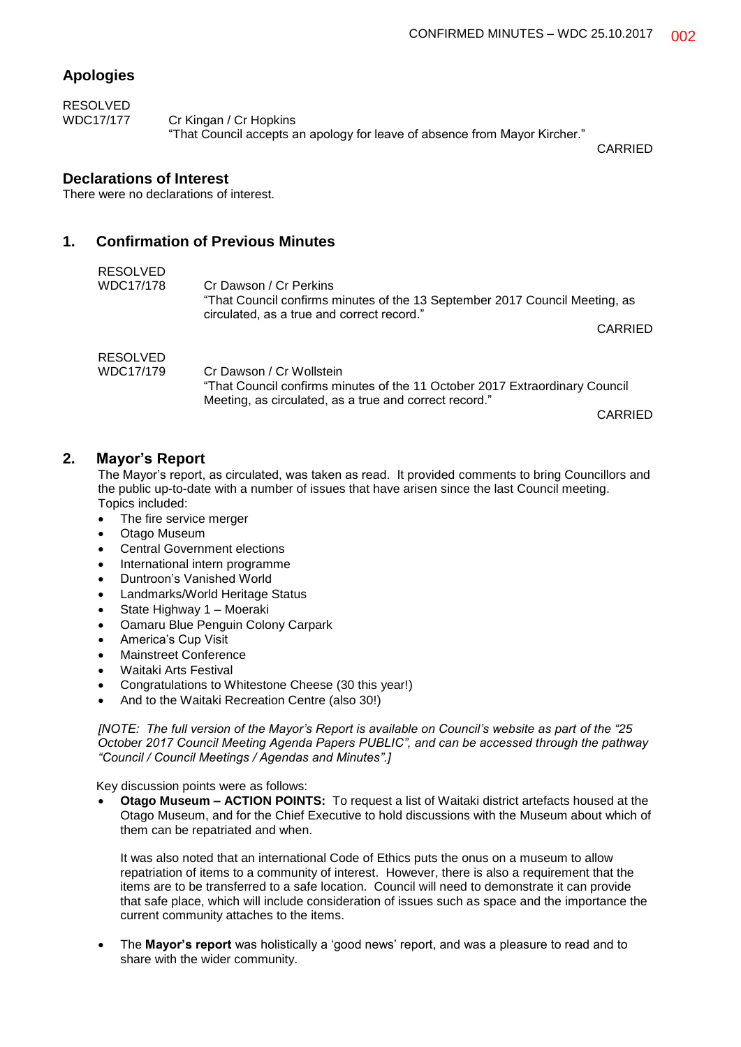# **Apologies**

RESOLVED WDC17/177 Cr Kingan / Cr Hopkins "That Council accepts an apology for leave of absence from Mayor Kircher."

CARRIED

### **Declarations of Interest**

There were no declarations of interest.

### **1. Confirmation of Previous Minutes**

| RESOLVED  |                                                                                                                                                                   |
|-----------|-------------------------------------------------------------------------------------------------------------------------------------------------------------------|
| WDC17/178 | Cr Dawson / Cr Perkins<br>"That Council confirms minutes of the 13 September 2017 Council Meeting, as<br>circulated, as a true and correct record."               |
|           | <b>CARRIED</b>                                                                                                                                                    |
| RESOLVED  |                                                                                                                                                                   |
| WDC17/179 | Cr Dawson / Cr Wollstein<br>"That Council confirms minutes of the 11 October 2017 Extraordinary Council<br>Meeting, as circulated, as a true and correct record." |
|           |                                                                                                                                                                   |

CARRIED

### **2. Mayor's Report**

The Mayor's report, as circulated, was taken as read. It provided comments to bring Councillors and the public up-to-date with a number of issues that have arisen since the last Council meeting. Topics included:

- The fire service merger
- Otago Museum
- Central Government elections
- International intern programme
- Duntroon's Vanished World
- Landmarks/World Heritage Status
- State Highway 1 Moeraki
- Oamaru Blue Penguin Colony Carpark
- America's Cup Visit
- Mainstreet Conference
- Waitaki Arts Festival
- Congratulations to Whitestone Cheese (30 this year!)
- And to the Waitaki Recreation Centre (also 30!)

*[NOTE: The full version of the Mayor's Report is available on Council's website as part of the "25 October 2017 Council Meeting Agenda Papers PUBLIC", and can be accessed through the pathway "Council / Council Meetings / Agendas and Minutes".]*

Key discussion points were as follows:

 **Otago Museum – ACTION POINTS:** To request a list of Waitaki district artefacts housed at the Otago Museum, and for the Chief Executive to hold discussions with the Museum about which of them can be repatriated and when.

It was also noted that an international Code of Ethics puts the onus on a museum to allow repatriation of items to a community of interest. However, there is also a requirement that the items are to be transferred to a safe location. Council will need to demonstrate it can provide that safe place, which will include consideration of issues such as space and the importance the current community attaches to the items.

 The **Mayor's report** was holistically a 'good news' report, and was a pleasure to read and to share with the wider community.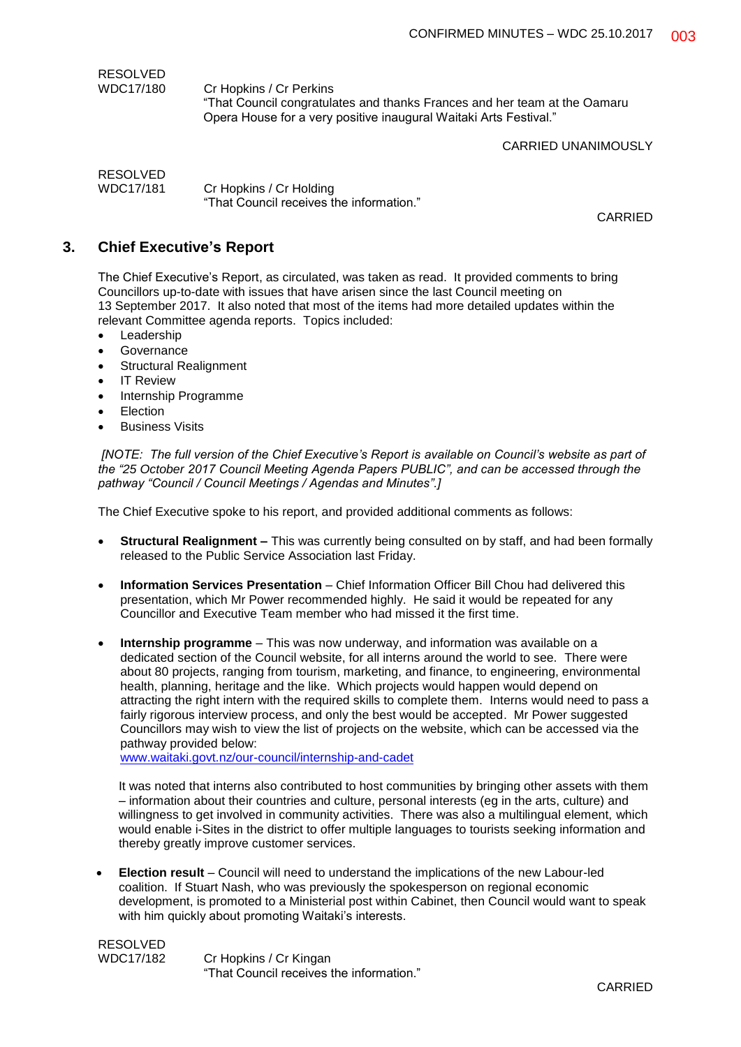| RESOLVED  |                                                                                                      |
|-----------|------------------------------------------------------------------------------------------------------|
| WDC17/180 | Cr Hopkins / Cr Perkins<br>"That Council congratulates and thanks Frances and her team at the Oamaru |
|           | Opera House for a very positive inaugural Waitaki Arts Festival."                                    |

CARRIED UNANIMOUSLY

RESOLVED WDC17/181 Cr Hopkins / Cr Holding "That Council receives the information."

CARRIED

# **3. Chief Executive's Report**

The Chief Executive's Report, as circulated, was taken as read. It provided comments to bring Councillors up-to-date with issues that have arisen since the last Council meeting on 13 September 2017. It also noted that most of the items had more detailed updates within the relevant Committee agenda reports. Topics included:

- Leadership
- **Governance**
- Structural Realignment
- IT Review
- Internship Programme
- Election
- Business Visits

*[NOTE: The full version of the Chief Executive's Report is available on Council's website as part of the "25 October 2017 Council Meeting Agenda Papers PUBLIC", and can be accessed through the pathway "Council / Council Meetings / Agendas and Minutes".]*

The Chief Executive spoke to his report, and provided additional comments as follows:

- **Structural Realignment –** This was currently being consulted on by staff, and had been formally released to the Public Service Association last Friday.
- **Information Services Presentation** Chief Information Officer Bill Chou had delivered this presentation, which Mr Power recommended highly. He said it would be repeated for any Councillor and Executive Team member who had missed it the first time.
- **Internship programme** This was now underway, and information was available on a dedicated section of the Council website, for all interns around the world to see. There were about 80 projects, ranging from tourism, marketing, and finance, to engineering, environmental health, planning, heritage and the like. Which projects would happen would depend on attracting the right intern with the required skills to complete them. Interns would need to pass a fairly rigorous interview process, and only the best would be accepted. Mr Power suggested Councillors may wish to view the list of projects on the website, which can be accessed via the pathway provided below:

[www.waitaki.govt.nz/our-council/internship-and-cadet](http://www.waitaki.govt.nz/our-council/internship-and-cadet)

It was noted that interns also contributed to host communities by bringing other assets with them – information about their countries and culture, personal interests (eg in the arts, culture) and willingness to get involved in community activities. There was also a multilingual element, which would enable i-Sites in the district to offer multiple languages to tourists seeking information and thereby greatly improve customer services.

 **Election result** – Council will need to understand the implications of the new Labour-led coalition. If Stuart Nash, who was previously the spokesperson on regional economic development, is promoted to a Ministerial post within Cabinet, then Council would want to speak with him quickly about promoting Waitaki's interests.

RESOLVED WDC17/182 Cr Hopkins / Cr Kingan "That Council receives the information."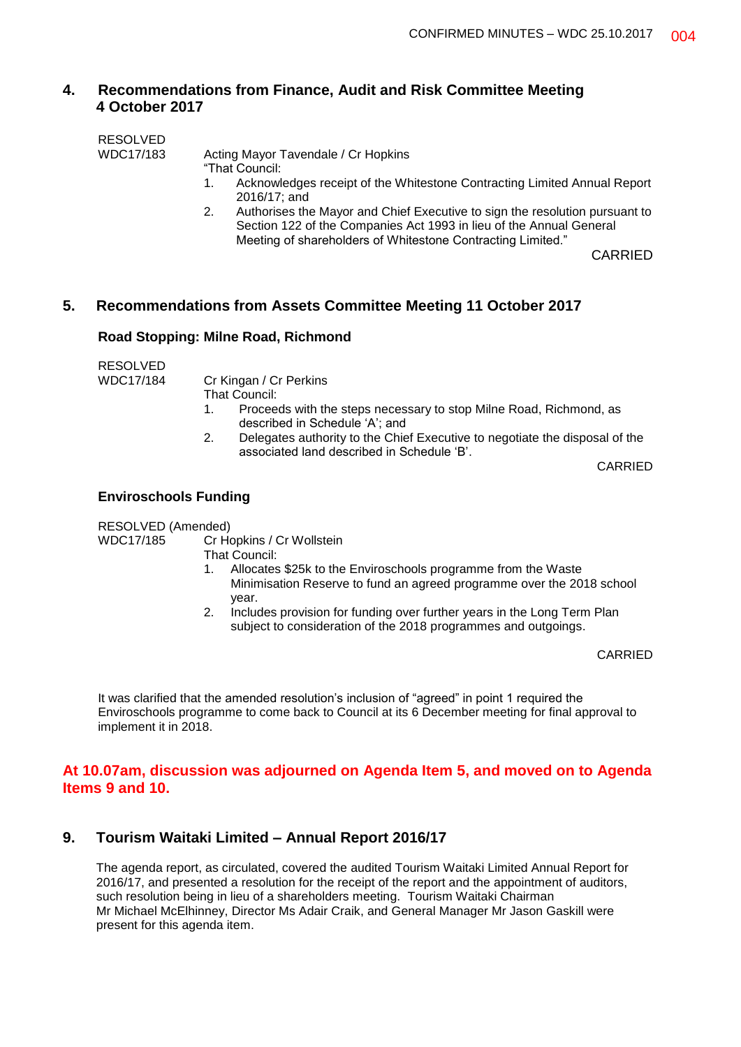# **4. Recommendations from Finance, Audit and Risk Committee Meeting 4 October 2017**

| <b>RESOLVED</b> |                                                                                                |
|-----------------|------------------------------------------------------------------------------------------------|
| WDC17/183       | Acting Mayor Tavendale / Cr Hopkins                                                            |
|                 | "That Council:                                                                                 |
|                 | Acknowledges receipt of the Whitestone Contracting Limited Annual Report<br>1.<br>2016/17; and |
|                 | Authorises the Mayor and Chief Executive to sign the resolution pursuant to<br>2.              |
|                 | Section 122 of the Companies Act 1993 in lieu of the Annual General                            |
|                 | Meeting of shareholders of Whitestone Contracting Limited."                                    |

CARRIED

## **5. Recommendations from Assets Committee Meeting 11 October 2017**

#### **Road Stopping: Milne Road, Richmond**

RESOLVED

WDC17/184 Cr Kingan / Cr Perkins

- That Council:
- 1. Proceeds with the steps necessary to stop Milne Road, Richmond, as described in Schedule 'A'; and
- 2. Delegates authority to the Chief Executive to negotiate the disposal of the associated land described in Schedule 'B'.

CARRIED

#### **Enviroschools Funding**

RESOLVED (Amended)<br>WDC17/185 Cr Ho

Cr Hopkins / Cr Wollstein

That Council:

- 1. Allocates \$25k to the Enviroschools programme from the Waste Minimisation Reserve to fund an agreed programme over the 2018 school year.
- 2. Includes provision for funding over further years in the Long Term Plan subject to consideration of the 2018 programmes and outgoings.

CARRIED

It was clarified that the amended resolution's inclusion of "agreed" in point 1 required the Enviroschools programme to come back to Council at its 6 December meeting for final approval to implement it in 2018.

### **At 10.07am, discussion was adjourned on Agenda Item 5, and moved on to Agenda Items 9 and 10.**

## **9. Tourism Waitaki Limited – Annual Report 2016/17**

The agenda report, as circulated, covered the audited Tourism Waitaki Limited Annual Report for 2016/17, and presented a resolution for the receipt of the report and the appointment of auditors, such resolution being in lieu of a shareholders meeting. Tourism Waitaki Chairman Mr Michael McElhinney, Director Ms Adair Craik, and General Manager Mr Jason Gaskill were present for this agenda item.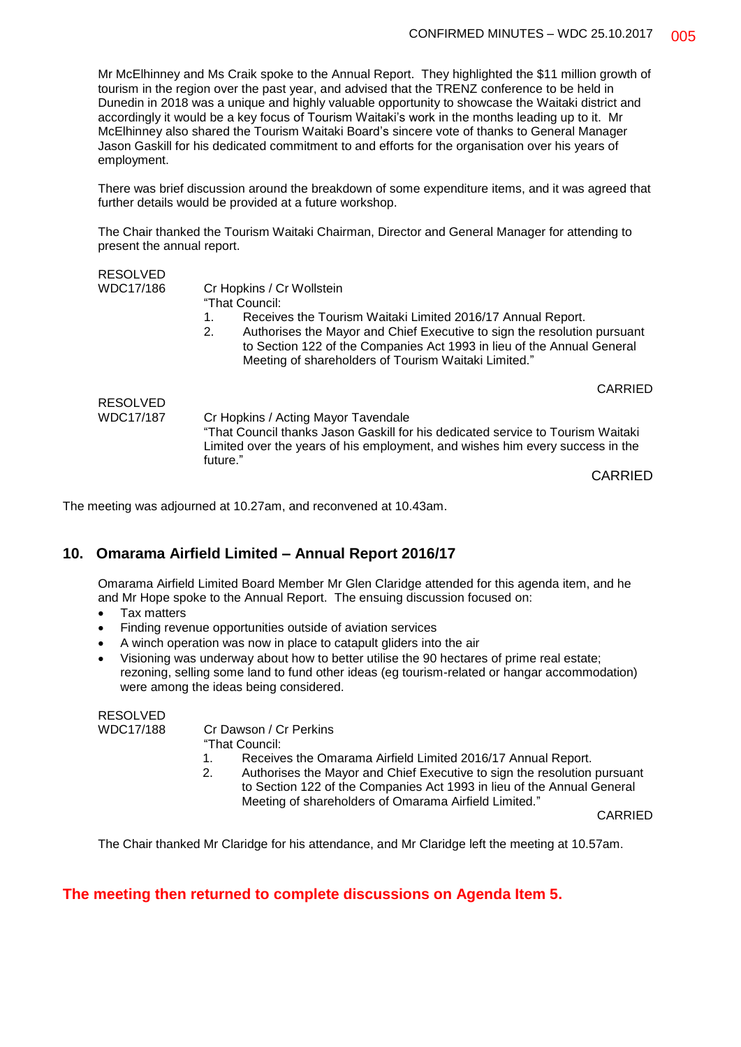Mr McElhinney and Ms Craik spoke to the Annual Report. They highlighted the \$11 million growth of tourism in the region over the past year, and advised that the TRENZ conference to be held in Dunedin in 2018 was a unique and highly valuable opportunity to showcase the Waitaki district and accordingly it would be a key focus of Tourism Waitaki's work in the months leading up to it. Mr McElhinney also shared the Tourism Waitaki Board's sincere vote of thanks to General Manager Jason Gaskill for his dedicated commitment to and efforts for the organisation over his years of employment.

There was brief discussion around the breakdown of some expenditure items, and it was agreed that further details would be provided at a future workshop.

The Chair thanked the Tourism Waitaki Chairman, Director and General Manager for attending to present the annual report.

| <b>RESOLVED</b>  |                                                                                                                                                                                                                  |
|------------------|------------------------------------------------------------------------------------------------------------------------------------------------------------------------------------------------------------------|
| WDC17/186        | Cr Hopkins / Cr Wollstein                                                                                                                                                                                        |
|                  | "That Council:                                                                                                                                                                                                   |
|                  | Receives the Tourism Waitaki Limited 2016/17 Annual Report.<br>1.                                                                                                                                                |
|                  | Authorises the Mayor and Chief Executive to sign the resolution pursuant<br>2.<br>to Section 122 of the Companies Act 1993 in lieu of the Annual General<br>Meeting of shareholders of Tourism Waitaki Limited." |
|                  | <b>CARRIED</b>                                                                                                                                                                                                   |
| <b>RESOLVED</b>  |                                                                                                                                                                                                                  |
| <b>WDC17/187</b> | Cr Hopkins / Acting Mayor Tavendale                                                                                                                                                                              |
|                  | "That Council thanks Jason Gaskill for his dedicated service to Tourism Waitaki<br>Limited over the years of his employment, and wishes him every success in the<br>future."                                     |

CARRIED

The meeting was adjourned at 10.27am, and reconvened at 10.43am.

# **10. Omarama Airfield Limited – Annual Report 2016/17**

Omarama Airfield Limited Board Member Mr Glen Claridge attended for this agenda item, and he and Mr Hope spoke to the Annual Report. The ensuing discussion focused on:

- Tax matters
- Finding revenue opportunities outside of aviation services
- A winch operation was now in place to catapult gliders into the air
- Visioning was underway about how to better utilise the 90 hectares of prime real estate; rezoning, selling some land to fund other ideas (eg tourism-related or hangar accommodation) were among the ideas being considered.

RESOLVED

WDC17/188 Cr Dawson / Cr Perkins

- "That Council:
- 1. Receives the Omarama Airfield Limited 2016/17 Annual Report.
- 2. Authorises the Mayor and Chief Executive to sign the resolution pursuant to Section 122 of the Companies Act 1993 in lieu of the Annual General Meeting of shareholders of Omarama Airfield Limited."

CARRIED

The Chair thanked Mr Claridge for his attendance, and Mr Claridge left the meeting at 10.57am.

# **The meeting then returned to complete discussions on Agenda Item 5.**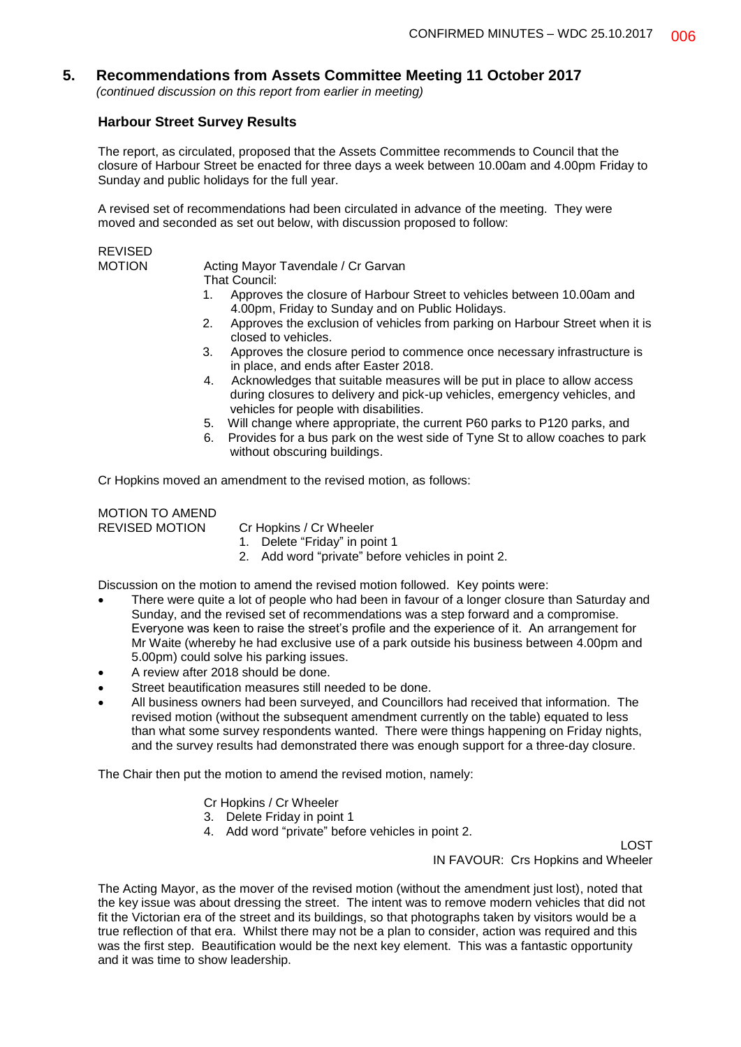# **5. Recommendations from Assets Committee Meeting 11 October 2017**

*(continued discussion on this report from earlier in meeting)*

#### **Harbour Street Survey Results**

The report, as circulated, proposed that the Assets Committee recommends to Council that the closure of Harbour Street be enacted for three days a week between 10.00am and 4.00pm Friday to Sunday and public holidays for the full year.

A revised set of recommendations had been circulated in advance of the meeting. They were moved and seconded as set out below, with discussion proposed to follow:

REVISED

Acting Mayor Tavendale / Cr Garvan That Council:

- 1. Approves the closure of Harbour Street to vehicles between 10.00am and 4.00pm, Friday to Sunday and on Public Holidays.
- 2. Approves the exclusion of vehicles from parking on Harbour Street when it is closed to vehicles.
- 3. Approves the closure period to commence once necessary infrastructure is in place, and ends after Easter 2018.
- 4. Acknowledges that suitable measures will be put in place to allow access during closures to delivery and pick-up vehicles, emergency vehicles, and vehicles for people with disabilities.
- 5. Will change where appropriate, the current P60 parks to P120 parks, and
- 6. Provides for a bus park on the west side of Tyne St to allow coaches to park without obscuring buildings.

Cr Hopkins moved an amendment to the revised motion, as follows:

MOTION TO AMEND REVISED MOTION Cr Hopkins / Cr Wheeler

- 1. Delete "Friday" in point 1
- 2. Add word "private" before vehicles in point 2.

Discussion on the motion to amend the revised motion followed. Key points were:

- There were quite a lot of people who had been in favour of a longer closure than Saturday and Sunday, and the revised set of recommendations was a step forward and a compromise. Everyone was keen to raise the street's profile and the experience of it. An arrangement for Mr Waite (whereby he had exclusive use of a park outside his business between 4.00pm and 5.00pm) could solve his parking issues.
- A review after 2018 should be done.
- Street beautification measures still needed to be done.
- All business owners had been surveyed, and Councillors had received that information. The revised motion (without the subsequent amendment currently on the table) equated to less than what some survey respondents wanted. There were things happening on Friday nights, and the survey results had demonstrated there was enough support for a three-day closure.

The Chair then put the motion to amend the revised motion, namely:

Cr Hopkins / Cr Wheeler

- 3. Delete Friday in point 1
- 4. Add word "private" before vehicles in point 2.

LOST IN FAVOUR: Crs Hopkins and Wheeler

The Acting Mayor, as the mover of the revised motion (without the amendment just lost), noted that the key issue was about dressing the street. The intent was to remove modern vehicles that did not fit the Victorian era of the street and its buildings, so that photographs taken by visitors would be a true reflection of that era. Whilst there may not be a plan to consider, action was required and this was the first step. Beautification would be the next key element. This was a fantastic opportunity and it was time to show leadership.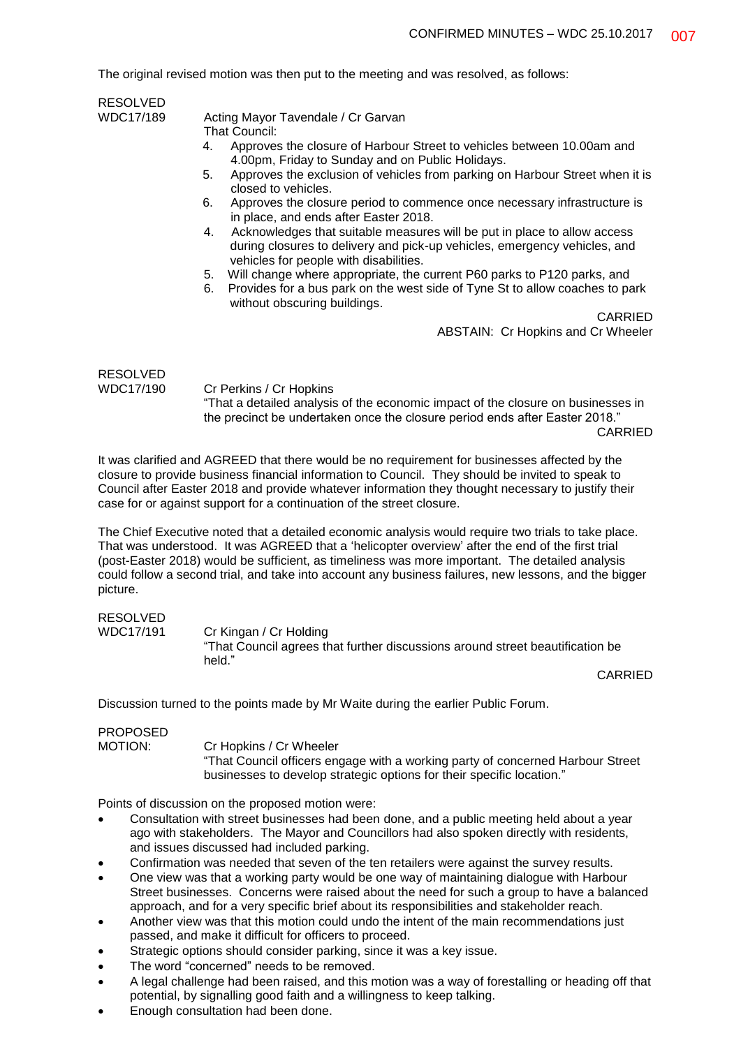The original revised motion was then put to the meeting and was resolved, as follows:

| <b>RESOLVED</b>              |                                                                                                                                                                                                       |
|------------------------------|-------------------------------------------------------------------------------------------------------------------------------------------------------------------------------------------------------|
| WDC17/189                    | Acting Mayor Tavendale / Cr Garvan<br>That Council:                                                                                                                                                   |
|                              | Approves the closure of Harbour Street to vehicles between 10.00am and<br>4.<br>4.00pm, Friday to Sunday and on Public Holidays.                                                                      |
|                              | Approves the exclusion of vehicles from parking on Harbour Street when it is<br>5.<br>closed to vehicles.                                                                                             |
|                              | Approves the closure period to commence once necessary infrastructure is<br>6.<br>in place, and ends after Easter 2018.                                                                               |
|                              | Acknowledges that suitable measures will be put in place to allow access<br>4.<br>during closures to delivery and pick-up vehicles, emergency vehicles, and<br>vehicles for people with disabilities. |
|                              | Will change where appropriate, the current P60 parks to P120 parks, and<br>5.<br>Provides for a bus park on the west side of Tyne St to allow coaches to park<br>6.<br>without obscuring buildings.   |
|                              | CARRIED                                                                                                                                                                                               |
|                              | <b>ABSTAIN: Cr Hopkins and Cr Wheeler</b>                                                                                                                                                             |
| <b>RESOLVED</b><br>WDC17/190 |                                                                                                                                                                                                       |
|                              | Cr Perkins / Cr Hopkins<br>"That a detailed analysis of the economic impact of the closure on businesses in<br>the precinct be undertaken once the closure period ends after Easter 2018."            |

CARRIED

It was clarified and AGREED that there would be no requirement for businesses affected by the closure to provide business financial information to Council. They should be invited to speak to Council after Easter 2018 and provide whatever information they thought necessary to justify their case for or against support for a continuation of the street closure.

The Chief Executive noted that a detailed economic analysis would require two trials to take place. That was understood. It was AGREED that a 'helicopter overview' after the end of the first trial (post-Easter 2018) would be sufficient, as timeliness was more important. The detailed analysis could follow a second trial, and take into account any business failures, new lessons, and the bigger picture.

# RESOLVED

WDC17/191 Cr Kingan / Cr Holding "That Council agrees that further discussions around street beautification be held."

CARRIED

Discussion turned to the points made by Mr Waite during the earlier Public Forum.

#### PROPOSED MOTION: Cr Hopkins / Cr Wheeler "That Council officers engage with a working party of concerned Harbour Street businesses to develop strategic options for their specific location."

Points of discussion on the proposed motion were:

- Consultation with street businesses had been done, and a public meeting held about a year ago with stakeholders. The Mayor and Councillors had also spoken directly with residents, and issues discussed had included parking.
- Confirmation was needed that seven of the ten retailers were against the survey results.
- One view was that a working party would be one way of maintaining dialogue with Harbour Street businesses. Concerns were raised about the need for such a group to have a balanced approach, and for a very specific brief about its responsibilities and stakeholder reach.
- Another view was that this motion could undo the intent of the main recommendations just passed, and make it difficult for officers to proceed.
- Strategic options should consider parking, since it was a key issue.
- The word "concerned" needs to be removed.
- A legal challenge had been raised, and this motion was a way of forestalling or heading off that potential, by signalling good faith and a willingness to keep talking.
- Enough consultation had been done.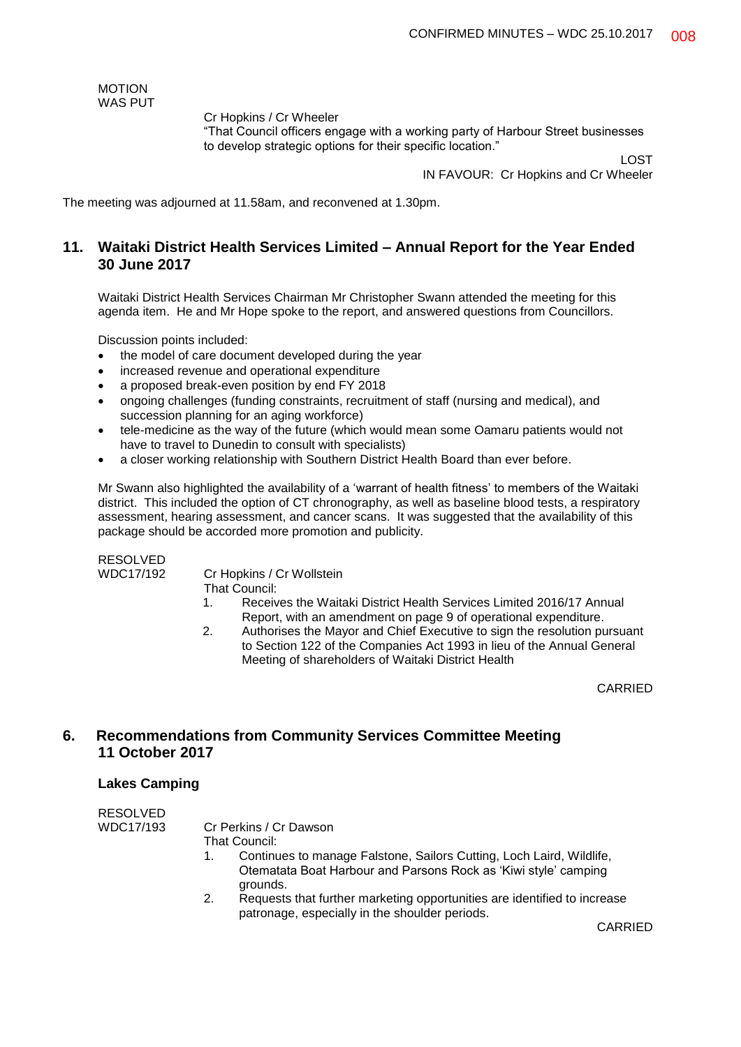MOTION WAS PUT

Cr Hopkins / Cr Wheeler

"That Council officers engage with a working party of Harbour Street businesses to develop strategic options for their specific location."

LOST

IN FAVOUR: Cr Hopkins and Cr Wheeler

The meeting was adjourned at 11.58am, and reconvened at 1.30pm.

# **11. Waitaki District Health Services Limited – Annual Report for the Year Ended 30 June 2017**

Waitaki District Health Services Chairman Mr Christopher Swann attended the meeting for this agenda item. He and Mr Hope spoke to the report, and answered questions from Councillors.

Discussion points included:

- the model of care document developed during the year
- increased revenue and operational expenditure
- a proposed break-even position by end FY 2018
- ongoing challenges (funding constraints, recruitment of staff (nursing and medical), and succession planning for an aging workforce)
- tele-medicine as the way of the future (which would mean some Oamaru patients would not have to travel to Dunedin to consult with specialists)
- a closer working relationship with Southern District Health Board than ever before.

Mr Swann also highlighted the availability of a 'warrant of health fitness' to members of the Waitaki district. This included the option of CT chronography, as well as baseline blood tests, a respiratory assessment, hearing assessment, and cancer scans. It was suggested that the availability of this package should be accorded more promotion and publicity.

### RESOLVED

WDC17/192 Cr Hopkins / Cr Wollstein

That Council:

- 1. Receives the Waitaki District Health Services Limited 2016/17 Annual Report, with an amendment on page 9 of operational expenditure.
- 2. Authorises the Mayor and Chief Executive to sign the resolution pursuant to Section 122 of the Companies Act 1993 in lieu of the Annual General Meeting of shareholders of Waitaki District Health

CARRIED

## **6. Recommendations from Community Services Committee Meeting 11 October 2017**

#### **Lakes Camping**

| <b>RESOLVED</b> |                                                                          |
|-----------------|--------------------------------------------------------------------------|
| WDC17/193       | Cr Perkins / Cr Dawson                                                   |
|                 | That Council:                                                            |
|                 | Continues to manage Falstone, Sailors Cutting, Loch Laird, Wildlife,     |
|                 | Otematata Boat Harbour and Parsons Rock as 'Kiwi style' camping          |
|                 | grounds.                                                                 |
|                 | Requests that further marketing opportunities are identified to increase |

patronage, especially in the shoulder periods.

CARRIED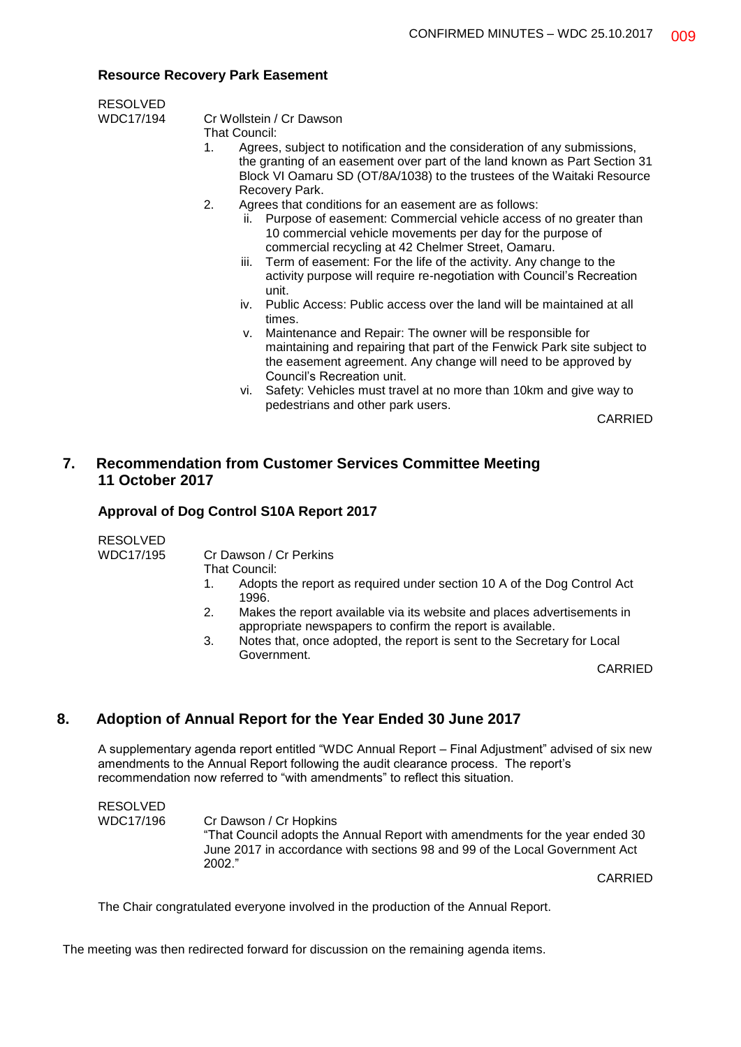#### **Resource Recovery Park Easement**

| <b>RESOLVED</b> |                                 |
|-----------------|---------------------------------|
| WDC17/194       | Cr Wollstein / Cr Dawson        |
|                 | That Council:                   |
|                 | Agrees, subject to notification |

- Agrees, subject to notification and the consideration of any submissions. the granting of an easement over part of the land known as Part Section 31 Block VI Oamaru SD (OT/8A/1038) to the trustees of the Waitaki Resource Recovery Park.
- 2. Agrees that conditions for an easement are as follows:
	- ii. Purpose of easement: Commercial vehicle access of no greater than 10 commercial vehicle movements per day for the purpose of commercial recycling at 42 Chelmer Street, Oamaru.
	- iii. Term of easement: For the life of the activity. Any change to the activity purpose will require re-negotiation with Council's Recreation unit.
	- iv. Public Access: Public access over the land will be maintained at all times.
	- v. Maintenance and Repair: The owner will be responsible for maintaining and repairing that part of the Fenwick Park site subject to the easement agreement. Any change will need to be approved by Council's Recreation unit.
	- vi. Safety: Vehicles must travel at no more than 10km and give way to pedestrians and other park users.

CARRIED

# **7. Recommendation from Customer Services Committee Meeting 11 October 2017**

#### **Approval of Dog Control S10A Report 2017**

RESOLVED

WDC17/195 Cr Dawson / Cr Perkins

- That Council:
- 1. Adopts the report as required under section 10 A of the Dog Control Act 1996.
- 2. Makes the report available via its website and places advertisements in appropriate newspapers to confirm the report is available.
- 3. Notes that, once adopted, the report is sent to the Secretary for Local Government.

CARRIED

## **8. Adoption of Annual Report for the Year Ended 30 June 2017**

A supplementary agenda report entitled "WDC Annual Report – Final Adjustment" advised of six new amendments to the Annual Report following the audit clearance process. The report's recommendation now referred to "with amendments" to reflect this situation.

RESOLVED WDC17/196 Cr Dawson / Cr Hopkins "That Council adopts the Annual Report with amendments for the year ended 30 June 2017 in accordance with sections 98 and 99 of the Local Government Act 2002."

CARRIED

The Chair congratulated everyone involved in the production of the Annual Report.

The meeting was then redirected forward for discussion on the remaining agenda items.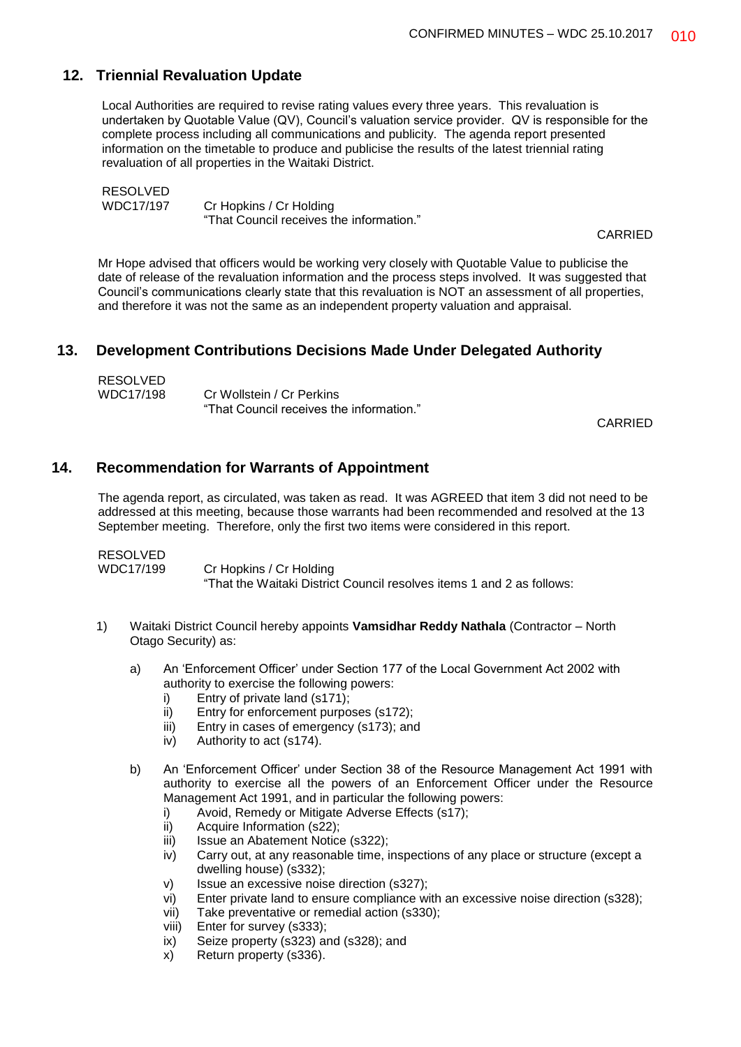# **12. Triennial Revaluation Update**

Local Authorities are required to revise rating values every three years. This revaluation is undertaken by Quotable Value (QV), Council's valuation service provider. QV is responsible for the complete process including all communications and publicity. The agenda report presented information on the timetable to produce and publicise the results of the latest triennial rating revaluation of all properties in the Waitaki District.

RESOLVED WDC17/197 Cr Hopkins / Cr Holding "That Council receives the information."

CARRIED

Mr Hope advised that officers would be working very closely with Quotable Value to publicise the date of release of the revaluation information and the process steps involved. It was suggested that Council's communications clearly state that this revaluation is NOT an assessment of all properties, and therefore it was not the same as an independent property valuation and appraisal.

## **13. Development Contributions Decisions Made Under Delegated Authority**

| <b>RESOLVED</b> |                                          |
|-----------------|------------------------------------------|
| WDC17/198       | Cr Wollstein / Cr Perkins                |
|                 | "That Council receives the information." |

CARRIED

## **14. Recommendation for Warrants of Appointment**

The agenda report, as circulated, was taken as read. It was AGREED that item 3 did not need to be addressed at this meeting, because those warrants had been recommended and resolved at the 13 September meeting. Therefore, only the first two items were considered in this report.

| RESOLVED  |                                                                       |
|-----------|-----------------------------------------------------------------------|
| WDC17/199 | Cr Hopkins / Cr Holding                                               |
|           | "That the Waitaki District Council resolves items 1 and 2 as follows: |

- 1) Waitaki District Council hereby appoints **Vamsidhar Reddy Nathala** (Contractor North Otago Security) as:
	- a) An 'Enforcement Officer' under Section 177 of the Local Government Act 2002 with authority to exercise the following powers:
		- i) Entry of private land (s171);
		- ii) Entry for enforcement purposes (s172);
		- iii) Entry in cases of emergency (s173); and
		- iv) Authority to act (s174).
	- b) An 'Enforcement Officer' under Section 38 of the Resource Management Act 1991 with authority to exercise all the powers of an Enforcement Officer under the Resource Management Act 1991, and in particular the following powers:
		- i) Avoid, Remedy or Mitigate Adverse Effects (s17);
		- ii) Acquire Information (s22);
		- iii) Issue an Abatement Notice (s322):
		- iv) Carry out, at any reasonable time, inspections of any place or structure (except a dwelling house) (s332);
		- v) Issue an excessive noise direction (s327);
		- vi) Enter private land to ensure compliance with an excessive noise direction (s328);
		- vii) Take preventative or remedial action (s330);
		- viii) Enter for survey (s333);
		- ix) Seize property (s323) and (s328); and
		- x) Return property (s336).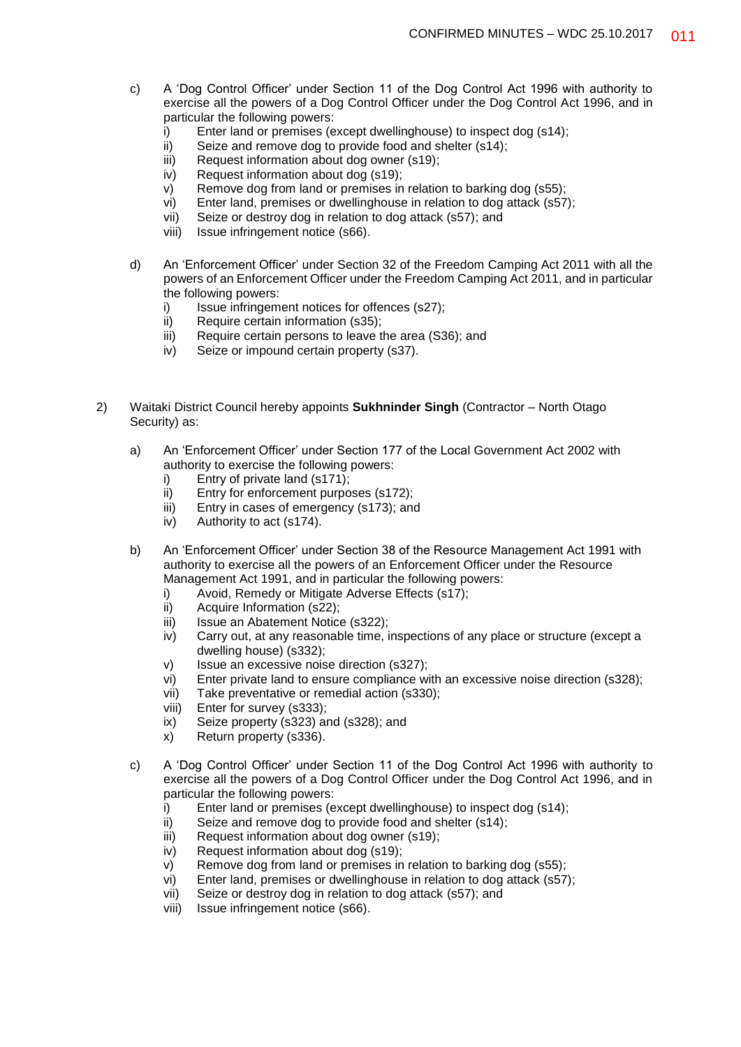- c) A 'Dog Control Officer' under Section 11 of the Dog Control Act 1996 with authority to exercise all the powers of a Dog Control Officer under the Dog Control Act 1996, and in particular the following powers:
	- i) Enter land or premises (except dwellinghouse) to inspect dog (s14);
	- ii) Seize and remove dog to provide food and shelter (s14);
	- iii) Request information about dog owner (s19);
	- iv) Request information about dog (s19);
	- v) Remove dog from land or premises in relation to barking dog (s55);
	- vi) Enter land, premises or dwellinghouse in relation to dog attack (s57);
	- vii) Seize or destroy dog in relation to dog attack (s57); and
	- viii) Issue infringement notice (s66).
- d) An 'Enforcement Officer' under Section 32 of the Freedom Camping Act 2011 with all the powers of an Enforcement Officer under the Freedom Camping Act 2011, and in particular the following powers:
	- i) Issue infringement notices for offences (s27);
	- ii) Require certain information (s35);
	- iii) Require certain persons to leave the area (S36); and
	- iv) Seize or impound certain property (s37).
- 2) Waitaki District Council hereby appoints **Sukhninder Singh** (Contractor North Otago Security) as:
	- a) An 'Enforcement Officer' under Section 177 of the Local Government Act 2002 with authority to exercise the following powers:
		- i) Entry of private land (s171);
		- ii) Entry for enforcement purposes (s172);
		- iii) Entry in cases of emergency (s173); and
		- iv) Authority to act (s174).
	- b) An 'Enforcement Officer' under Section 38 of the Resource Management Act 1991 with authority to exercise all the powers of an Enforcement Officer under the Resource Management Act 1991, and in particular the following powers:
		- i) Avoid, Remedy or Mitigate Adverse Effects (s17);
		- ii) Acquire Information (s22);
		- iii) Issue an Abatement Notice (s322);
		- iv) Carry out, at any reasonable time, inspections of any place or structure (except a dwelling house) (s332);
		- v) Issue an excessive noise direction (s327);
		- vi) Enter private land to ensure compliance with an excessive noise direction (s328);
		- vii) Take preventative or remedial action (s330);
		- viii) Enter for survey (s333);
		- ix) Seize property (s323) and (s328); and
		- x) Return property (s336).
	- c) A 'Dog Control Officer' under Section 11 of the Dog Control Act 1996 with authority to exercise all the powers of a Dog Control Officer under the Dog Control Act 1996, and in particular the following powers:
		- i) Enter land or premises (except dwellinghouse) to inspect dog (s14);
		- ii) Seize and remove dog to provide food and shelter (s14);
		- iii) Request information about dog owner (s19);
		- iv) Request information about dog (s19);
		- v) Remove dog from land or premises in relation to barking dog (s55);
		- vi) Enter land, premises or dwellinghouse in relation to dog attack (s57);
		- vii) Seize or destroy dog in relation to dog attack (s57); and
		- viii) Issue infringement notice (s66).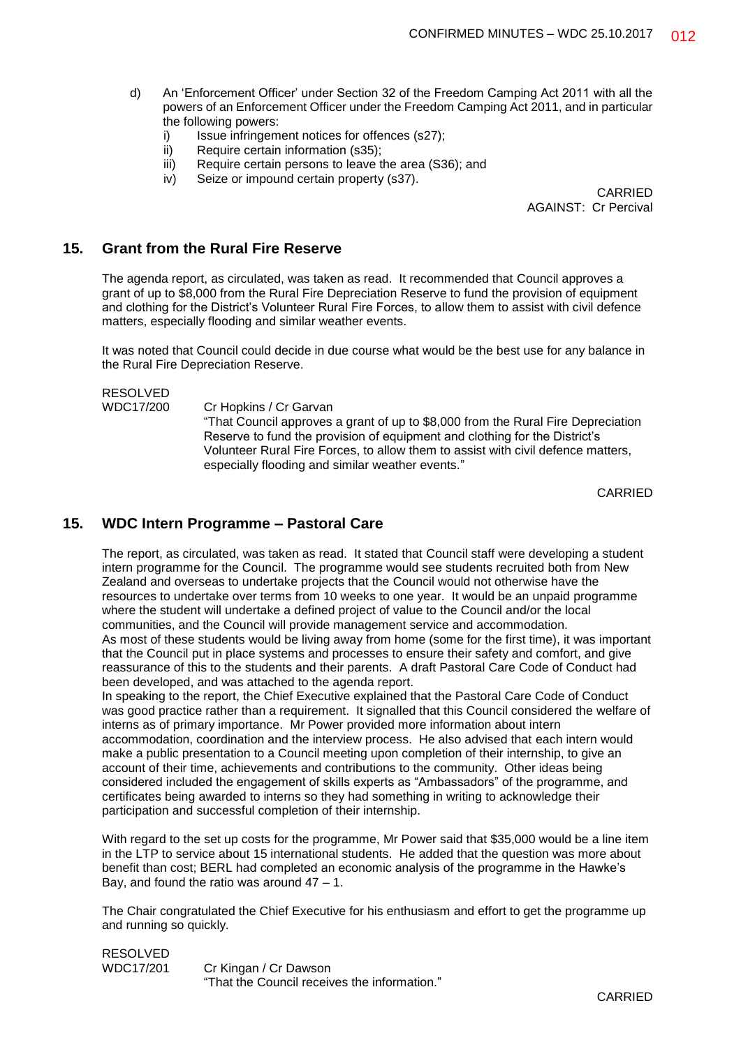- d) An 'Enforcement Officer' under Section 32 of the Freedom Camping Act 2011 with all the powers of an Enforcement Officer under the Freedom Camping Act 2011, and in particular the following powers:
	- i) Issue infringement notices for offences (s27);
	- ii) Require certain information (s35);
	- iii) Require certain persons to leave the area (S36); and
	- iv) Seize or impound certain property (s37).

CARRIED AGAINST: Cr Percival

### **15. Grant from the Rural Fire Reserve**

The agenda report, as circulated, was taken as read. It recommended that Council approves a grant of up to \$8,000 from the Rural Fire Depreciation Reserve to fund the provision of equipment and clothing for the District's Volunteer Rural Fire Forces, to allow them to assist with civil defence matters, especially flooding and similar weather events.

It was noted that Council could decide in due course what would be the best use for any balance in the Rural Fire Depreciation Reserve.

RESOLVED

WDC17/200 Cr Hopkins / Cr Garvan "That Council approves a grant of up to \$8,000 from the Rural Fire Depreciation Reserve to fund the provision of equipment and clothing for the District's Volunteer Rural Fire Forces, to allow them to assist with civil defence matters, especially flooding and similar weather events."

CARRIED

# **15. WDC Intern Programme – Pastoral Care**

The report, as circulated, was taken as read. It stated that Council staff were developing a student intern programme for the Council. The programme would see students recruited both from New Zealand and overseas to undertake projects that the Council would not otherwise have the resources to undertake over terms from 10 weeks to one year. It would be an unpaid programme where the student will undertake a defined project of value to the Council and/or the local communities, and the Council will provide management service and accommodation. As most of these students would be living away from home (some for the first time), it was important that the Council put in place systems and processes to ensure their safety and comfort, and give reassurance of this to the students and their parents. A draft Pastoral Care Code of Conduct had been developed, and was attached to the agenda report.

In speaking to the report, the Chief Executive explained that the Pastoral Care Code of Conduct was good practice rather than a requirement. It signalled that this Council considered the welfare of interns as of primary importance. Mr Power provided more information about intern accommodation, coordination and the interview process. He also advised that each intern would make a public presentation to a Council meeting upon completion of their internship, to give an account of their time, achievements and contributions to the community. Other ideas being considered included the engagement of skills experts as "Ambassadors" of the programme, and certificates being awarded to interns so they had something in writing to acknowledge their participation and successful completion of their internship.

With regard to the set up costs for the programme, Mr Power said that \$35,000 would be a line item in the LTP to service about 15 international students. He added that the question was more about benefit than cost; BERL had completed an economic analysis of the programme in the Hawke's Bay, and found the ratio was around  $47 - 1$ .

The Chair congratulated the Chief Executive for his enthusiasm and effort to get the programme up and running so quickly.

RESOLVED WDC17/201 Cr Kingan / Cr Dawson "That the Council receives the information."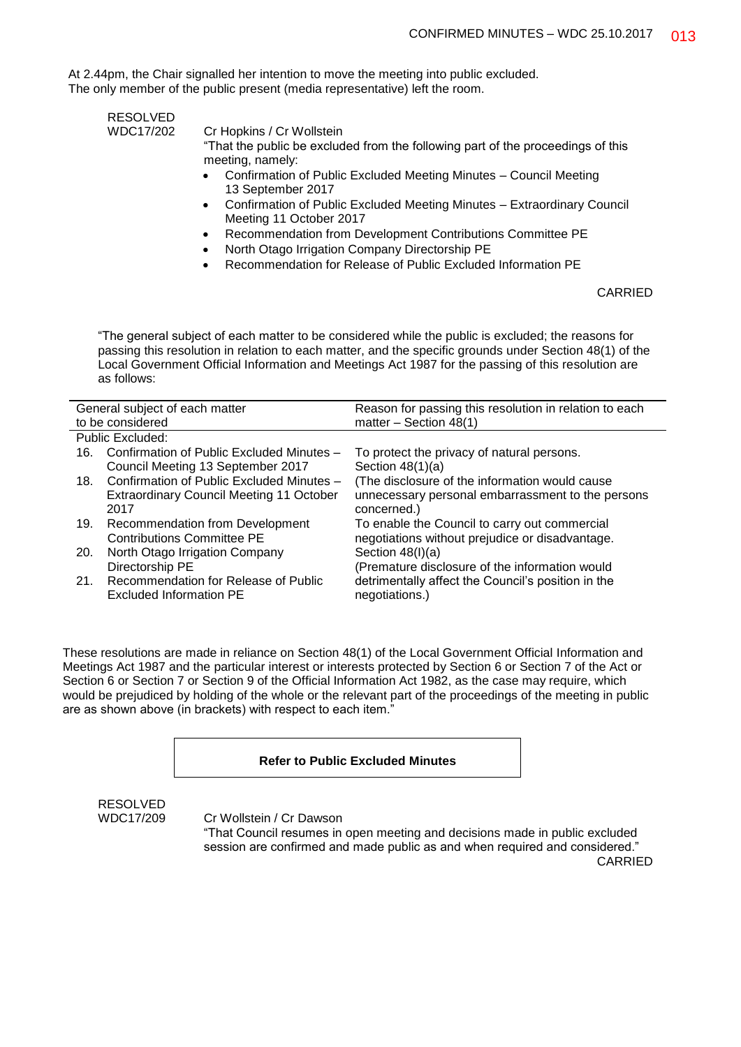At 2.44pm, the Chair signalled her intention to move the meeting into public excluded. The only member of the public present (media representative) left the room.

| <b>RESOLVED</b> |  |  |
|-----------------|--|--|
| 1110017/202     |  |  |

WDC17/202 Cr Hopkins / Cr Wollstein

"That the public be excluded from the following part of the proceedings of this meeting, namely:

- Confirmation of Public Excluded Meeting Minutes Council Meeting 13 September 2017
- Confirmation of Public Excluded Meeting Minutes Extraordinary Council Meeting 11 October 2017
- Recommendation from Development Contributions Committee PE
- North Otago Irrigation Company Directorship PE
- Recommendation for Release of Public Excluded Information PE

CARRIED

"The general subject of each matter to be considered while the public is excluded; the reasons for passing this resolution in relation to each matter, and the specific grounds under Section 48(1) of the Local Government Official Information and Meetings Act 1987 for the passing of this resolution are as follows:

| General subject of each matter |                                                 | Reason for passing this resolution in relation to each |  |
|--------------------------------|-------------------------------------------------|--------------------------------------------------------|--|
| to be considered               |                                                 | matter $-$ Section 48(1)                               |  |
|                                | Public Excluded:                                |                                                        |  |
| 16.                            | Confirmation of Public Excluded Minutes -       | To protect the privacy of natural persons.             |  |
|                                | Council Meeting 13 September 2017               | Section $48(1)(a)$                                     |  |
|                                | 18. Confirmation of Public Excluded Minutes -   | (The disclosure of the information would cause         |  |
|                                | <b>Extraordinary Council Meeting 11 October</b> | unnecessary personal embarrassment to the persons      |  |
|                                | 2017                                            | concerned.)                                            |  |
| 19.                            | <b>Recommendation from Development</b>          | To enable the Council to carry out commercial          |  |
|                                | Contributions Committee PE                      | negotiations without prejudice or disadvantage.        |  |
| <b>20.</b>                     | North Otago Irrigation Company                  | Section $48(l)(a)$                                     |  |
|                                | Directorship PE                                 | (Premature disclosure of the information would         |  |
| 21.                            | Recommendation for Release of Public            | detrimentally affect the Council's position in the     |  |
|                                | Excluded Information PE                         | negotiations.)                                         |  |

These resolutions are made in reliance on Section 48(1) of the Local Government Official Information and Meetings Act 1987 and the particular interest or interests protected by Section 6 or Section 7 of the Act or Section 6 or Section 7 or Section 9 of the Official Information Act 1982, as the case may require, which would be prejudiced by holding of the whole or the relevant part of the proceedings of the meeting in public are as shown above (in brackets) with respect to each item."

#### **Refer to Public Excluded Minutes**

RESOLVED

WDC17/209 Cr Wollstein / Cr Dawson

"That Council resumes in open meeting and decisions made in public excluded session are confirmed and made public as and when required and considered." CARRIED